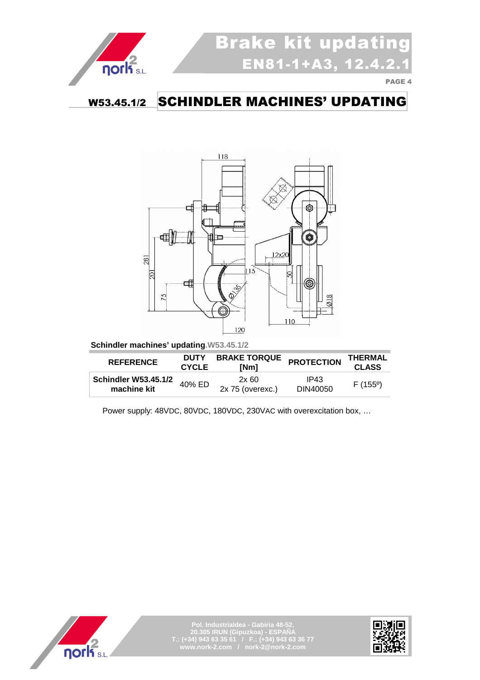

### W53.45.1/2 SCHINDLER MACHINES' UPDATING



 **Schindler machines' updating.W53.45.1/2** 

| <b>REFERENCE</b>                           | <b>DUTY</b><br><b>CYCLE</b> | <b>BRAKE TORQUE</b><br>[Nm] | <b>PROTECTION</b> | THERMAL<br><b>CLASS</b> |
|--------------------------------------------|-----------------------------|-----------------------------|-------------------|-------------------------|
| <b>Schindler W53.45.1/2</b><br>machine kit | 40% ED                      | 2x60<br>$2x 75$ (overexc.)  | IP43<br>DIN40050  | F(155°)                 |



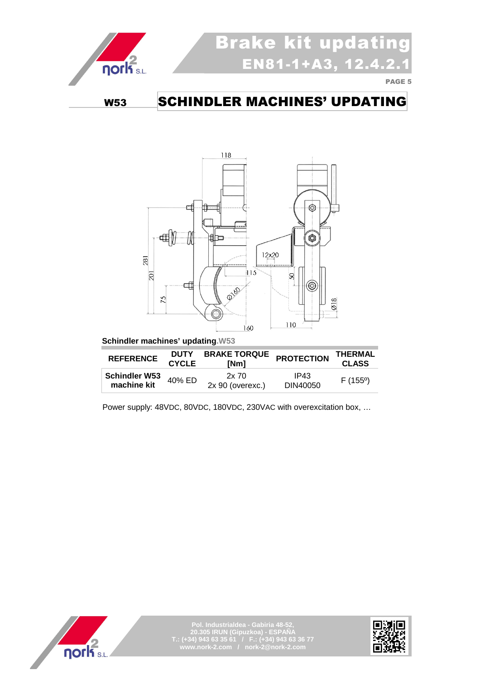

# Brake kit updating  $EN81-1+A3, 12.4$

PAGE 5

### W53 SCHINDLER MACHINES' UPDATING



 **Schindler machines' updating.W53** 

| <b>REFERENCE</b>                    | <b>DUTY</b><br><b>CYCLE</b> | <b>BRAKE TORQUE</b><br>[Nm]    | <b>PROTECTION</b> | THERMAL<br><b>CLASS</b> |
|-------------------------------------|-----------------------------|--------------------------------|-------------------|-------------------------|
| <b>Schindler W53</b><br>machine kit | 40% ED                      | $2x\,70$<br>$2x 90$ (overexc.) | IP43<br>DIN40050  | $F(155^{\circ})$        |



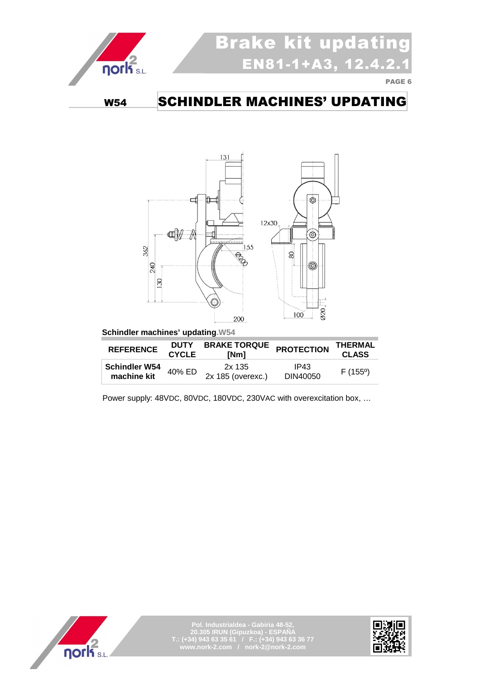

## Brake kit updating  $EN81-1+A3, 12.4$

PAGE 6

### W54 SCHINDLER MACHINES' UPDATING



 **Schindler machines' updating.W54** 

| <b>REFERENCE</b>                    | <b>DUTY</b><br><b>CYCLE</b> | <b>BRAKE TORQUE</b><br>[Nm] | <b>PROTECTION</b> | THERMAL<br><b>CLASS</b> |
|-------------------------------------|-----------------------------|-----------------------------|-------------------|-------------------------|
| <b>Schindler W54</b><br>machine kit | 40% ED                      | 2x 135<br>2x 185 (overexc.) | IP43<br>DIN40050  | $F(155^{\circ})$        |



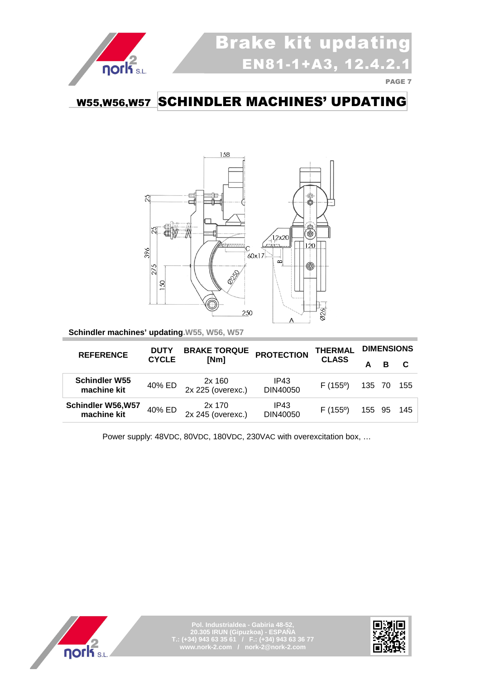

### W55,W56,W57 SCHINDLER MACHINES' UPDATING



**Schindler machines' updating.W55, W56, W57** 

| <b>REFERENCE</b>                        | <b>DUTY</b>  | <b>BRAKE TORQUE</b>         | <b>PROTECTION</b> | THERMAL          | <b>DIMENSIONS</b> |   |     |
|-----------------------------------------|--------------|-----------------------------|-------------------|------------------|-------------------|---|-----|
|                                         | <b>CYCLE</b> | [Nm]                        |                   | <b>CLASS</b>     |                   | в |     |
| <b>Schindler W55</b><br>machine kit     | 40% ED       | 2x 160<br>2x 225 (overexc.) | IP43<br>DIN40050  | F(155°)          | 135 70            |   | 155 |
| <b>Schindler W56,W57</b><br>machine kit | 40% ED       | 2x 170<br>2x 245 (overexc.) | IP43<br>DIN40050  | $F(155^{\circ})$ | 155 95            |   | 145 |